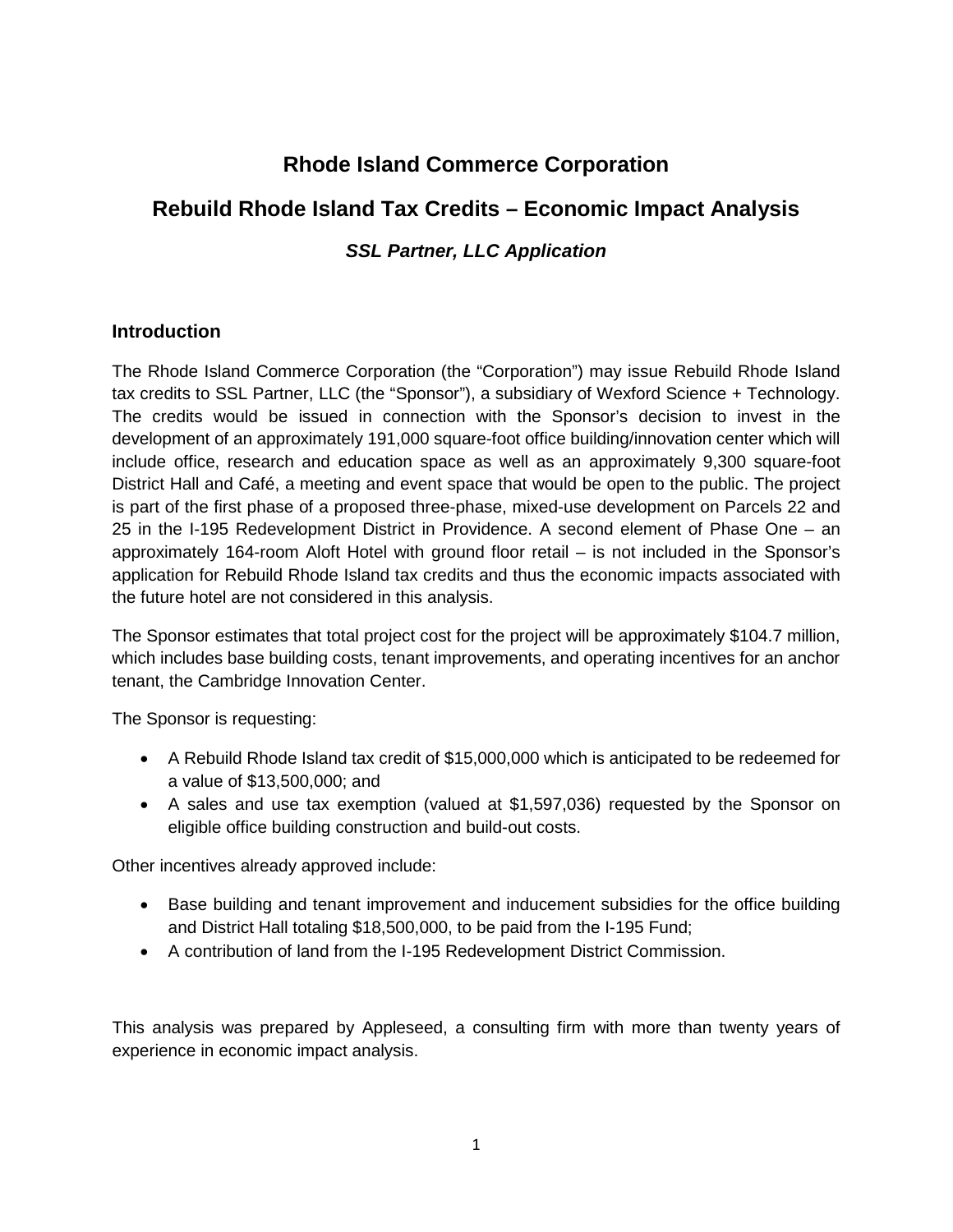# **Rhode Island Commerce Corporation**

# **Rebuild Rhode Island Tax Credits – Economic Impact Analysis**

# *SSL Partner, LLC Application*

## **Introduction**

The Rhode Island Commerce Corporation (the "Corporation") may issue Rebuild Rhode Island tax credits to SSL Partner, LLC (the "Sponsor"), a subsidiary of Wexford Science + Technology. The credits would be issued in connection with the Sponsor's decision to invest in the development of an approximately 191,000 square-foot office building/innovation center which will include office, research and education space as well as an approximately 9,300 square-foot District Hall and Café, a meeting and event space that would be open to the public. The project is part of the first phase of a proposed three-phase, mixed-use development on Parcels 22 and 25 in the I-195 Redevelopment District in Providence. A second element of Phase One – an approximately 164-room Aloft Hotel with ground floor retail – is not included in the Sponsor's application for Rebuild Rhode Island tax credits and thus the economic impacts associated with the future hotel are not considered in this analysis.

The Sponsor estimates that total project cost for the project will be approximately \$104.7 million, which includes base building costs, tenant improvements, and operating incentives for an anchor tenant, the Cambridge Innovation Center.

The Sponsor is requesting:

- A Rebuild Rhode Island tax credit of \$15,000,000 which is anticipated to be redeemed for a value of \$13,500,000; and
- A sales and use tax exemption (valued at \$1,597,036) requested by the Sponsor on eligible office building construction and build-out costs.

Other incentives already approved include:

- Base building and tenant improvement and inducement subsidies for the office building and District Hall totaling \$18,500,000, to be paid from the I-195 Fund;
- A contribution of land from the I-195 Redevelopment District Commission.

This analysis was prepared by Appleseed, a consulting firm with more than twenty years of experience in economic impact analysis.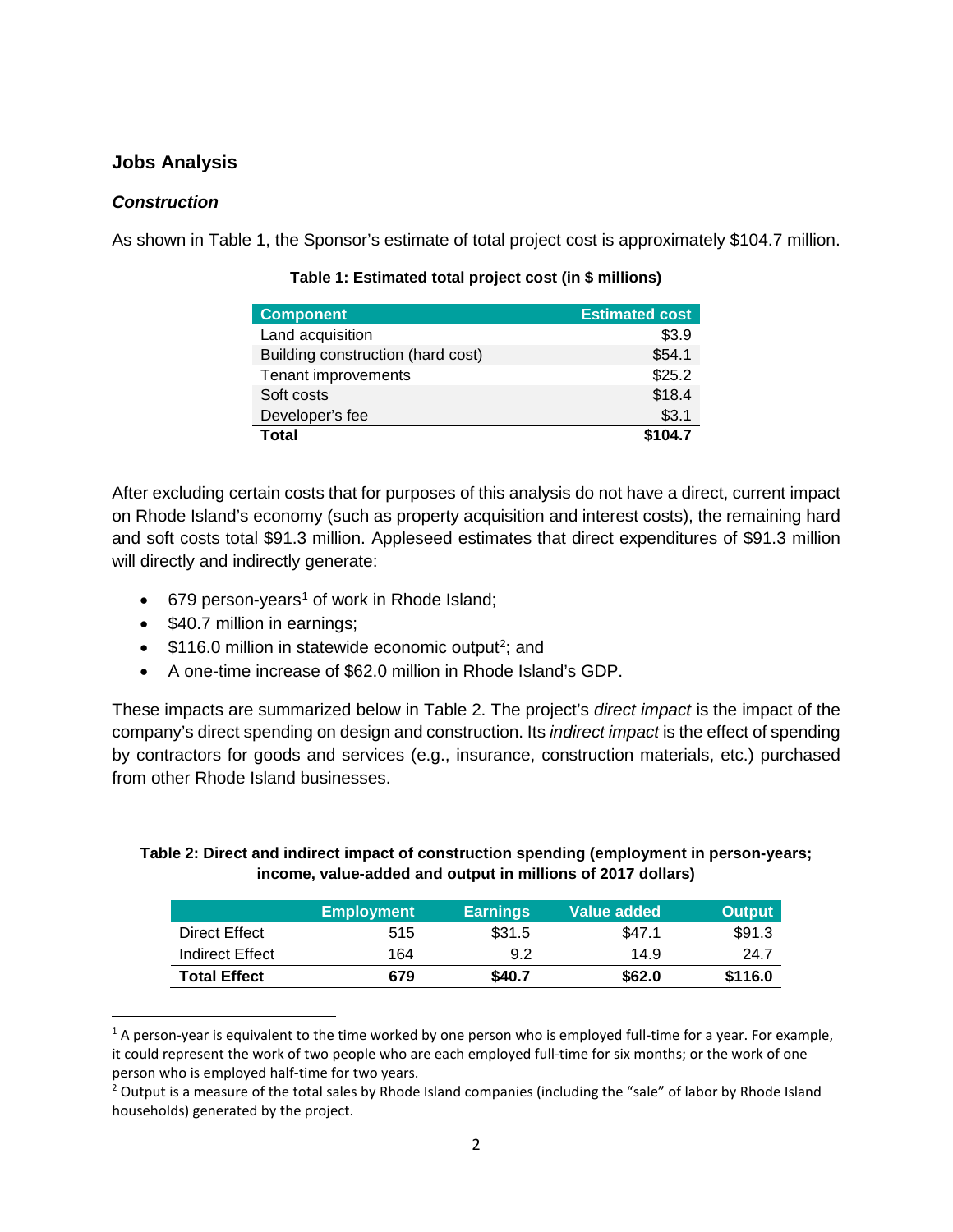## **Jobs Analysis**

#### *Construction*

As shown in Table 1, the Sponsor's estimate of total project cost is approximately \$104.7 million.

| <b>Component</b>                  | <b>Estimated cost</b> |
|-----------------------------------|-----------------------|
| Land acquisition                  | \$3.9                 |
| Building construction (hard cost) | \$54.1                |
| Tenant improvements               | \$25.2                |
| Soft costs                        | \$18.4                |
| Developer's fee                   | \$3.1                 |
| Total                             | \$104.7               |

#### **Table 1: Estimated total project cost (in \$ millions)**

After excluding certain costs that for purposes of this analysis do not have a direct, current impact on Rhode Island's economy (such as property acquisition and interest costs), the remaining hard and soft costs total \$91.3 million. Appleseed estimates that direct expenditures of \$91.3 million will directly and indirectly generate:

- 679 person-years<sup>[1](#page-1-0)</sup> of work in Rhode Island;
- \$40.7 million in earnings;
- $\bullet$  \$116.0 million in statewide economic output<sup>[2](#page-1-1)</sup>; and
- A one-time increase of \$62.0 million in Rhode Island's GDP.

These impacts are summarized below in Table 2. The project's *direct impact* is the impact of the company's direct spending on design and construction. Its *indirect impact* is the effect of spending by contractors for goods and services (e.g., insurance, construction materials, etc.) purchased from other Rhode Island businesses.

#### **Table 2: Direct and indirect impact of construction spending (employment in person-years; income, value-added and output in millions of 2017 dollars)**

|                     | <b>Employment</b> | <b>Earnings</b> | Value added | <b>Output</b> |
|---------------------|-------------------|-----------------|-------------|---------------|
| Direct Effect       | 515               | \$31.5          | \$47.1      | \$91.3        |
| Indirect Effect     | 164               | 9.2             | 14.9        | 24.7          |
| <b>Total Effect</b> | 679               | \$40.7          | \$62.0      | \$116.0       |

<span id="page-1-0"></span> $1$  A person-year is equivalent to the time worked by one person who is employed full-time for a year. For example, it could represent the work of two people who are each employed full-time for six months; or the work of one person who is employed half-time for two years.<br><sup>2</sup> Output is a measure of the total sales by Rhode Island companies (including the "sale" of labor by Rhode Island

<span id="page-1-1"></span>households) generated by the project.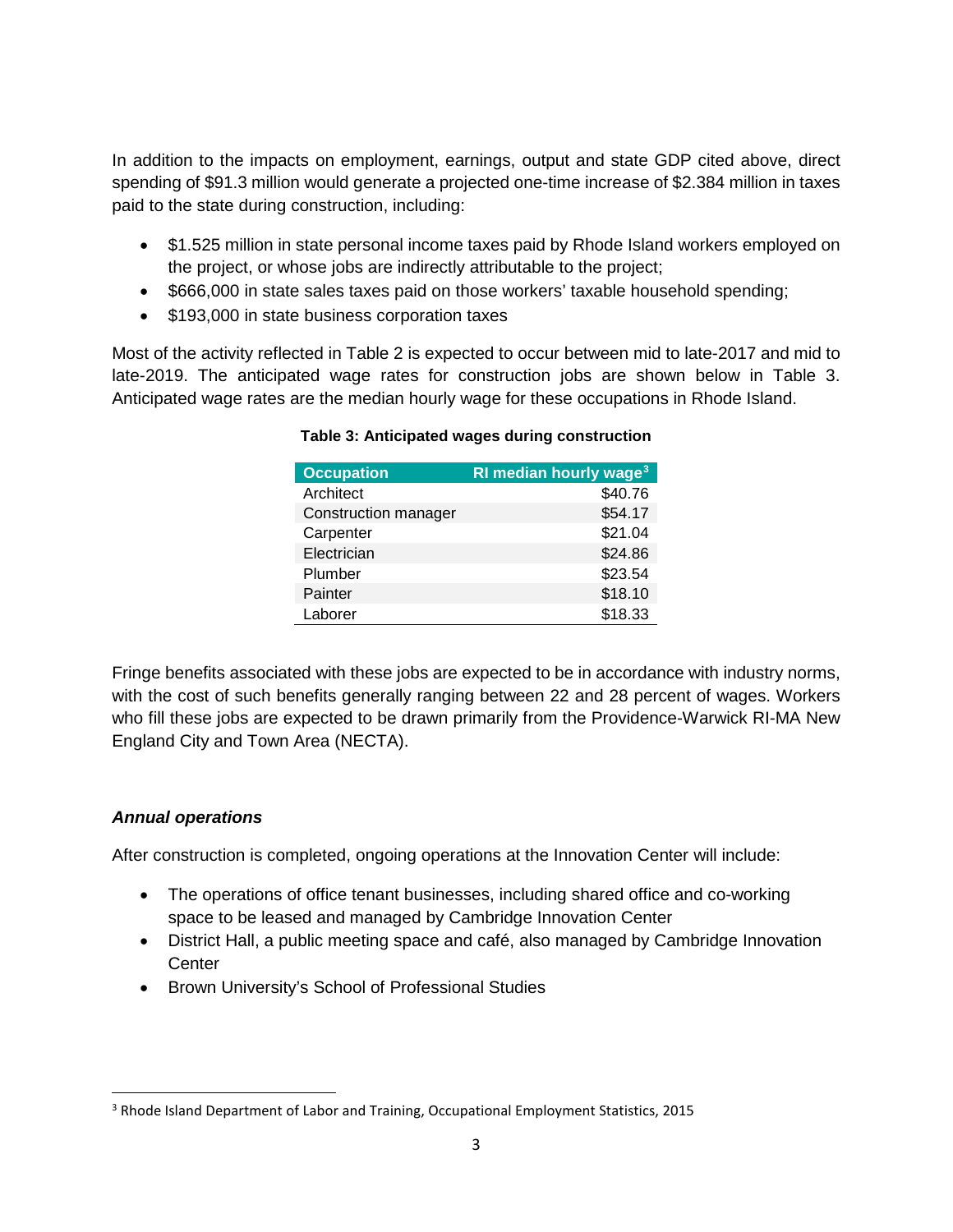In addition to the impacts on employment, earnings, output and state GDP cited above, direct spending of \$91.3 million would generate a projected one-time increase of \$2.384 million in taxes paid to the state during construction, including:

- \$1.525 million in state personal income taxes paid by Rhode Island workers employed on the project, or whose jobs are indirectly attributable to the project;
- \$666,000 in state sales taxes paid on those workers' taxable household spending;
- \$193,000 in state business corporation taxes

Most of the activity reflected in Table 2 is expected to occur between mid to late-2017 and mid to late-2019. The anticipated wage rates for construction jobs are shown below in Table 3. Anticipated wage rates are the median hourly wage for these occupations in Rhode Island.

| RI median hourly wage <sup>3</sup> |
|------------------------------------|
| \$40.76                            |
| \$54.17                            |
| \$21.04                            |
| \$24.86                            |
| \$23.54                            |
| \$18.10                            |
| \$18.33                            |
|                                    |

#### **Table 3: Anticipated wages during construction**

Fringe benefits associated with these jobs are expected to be in accordance with industry norms, with the cost of such benefits generally ranging between 22 and 28 percent of wages. Workers who fill these jobs are expected to be drawn primarily from the Providence-Warwick RI-MA New England City and Town Area (NECTA).

## *Annual operations*

After construction is completed, ongoing operations at the Innovation Center will include:

- The operations of office tenant businesses, including shared office and co-working space to be leased and managed by Cambridge Innovation Center
- District Hall, a public meeting space and café, also managed by Cambridge Innovation **Center**
- Brown University's School of Professional Studies

<span id="page-2-0"></span> <sup>3</sup> Rhode Island Department of Labor and Training, Occupational Employment Statistics, 2015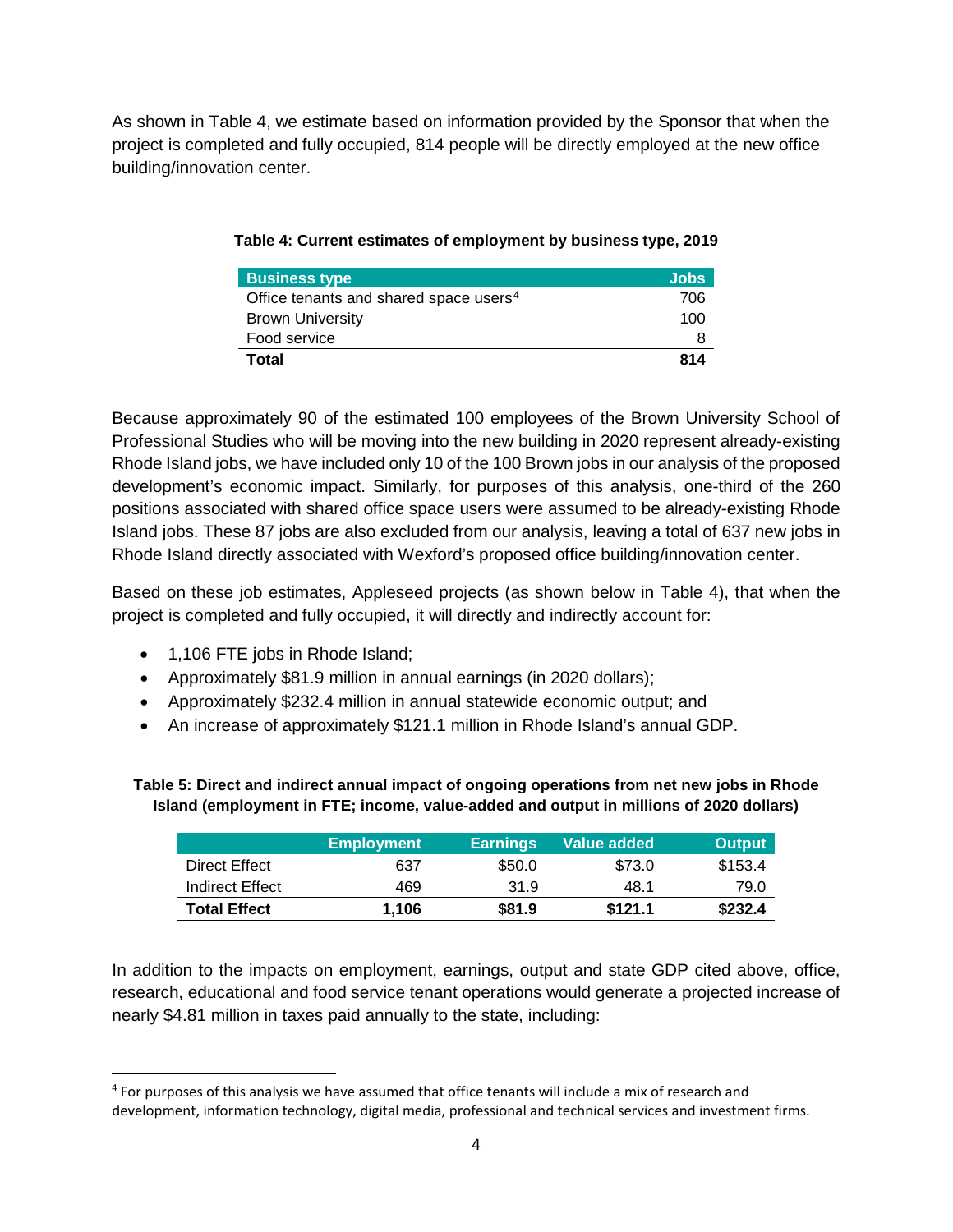As shown in Table 4, we estimate based on information provided by the Sponsor that when the project is completed and fully occupied, 814 people will be directly employed at the new office building/innovation center.

| <b>Business type</b>                               | <b>Jobs</b> |
|----------------------------------------------------|-------------|
| Office tenants and shared space users <sup>4</sup> | 706         |
| <b>Brown University</b>                            | 100         |
| Food service                                       |             |
| Total                                              | 814         |

**Table 4: Current estimates of employment by business type, 2019** 

Because approximately 90 of the estimated 100 employees of the Brown University School of Professional Studies who will be moving into the new building in 2020 represent already-existing Rhode Island jobs, we have included only 10 of the 100 Brown jobs in our analysis of the proposed development's economic impact. Similarly, for purposes of this analysis, one-third of the 260 positions associated with shared office space users were assumed to be already-existing Rhode Island jobs. These 87 jobs are also excluded from our analysis, leaving a total of 637 new jobs in Rhode Island directly associated with Wexford's proposed office building/innovation center.

Based on these job estimates, Appleseed projects (as shown below in Table 4), that when the project is completed and fully occupied, it will directly and indirectly account for:

- 1,106 FTE jobs in Rhode Island;
- Approximately \$81.9 million in annual earnings (in 2020 dollars);
- Approximately \$232.4 million in annual statewide economic output; and
- An increase of approximately \$121.1 million in Rhode Island's annual GDP.

**Table 5: Direct and indirect annual impact of ongoing operations from net new jobs in Rhode Island (employment in FTE; income, value-added and output in millions of 2020 dollars)**

|                     | <b>Employment</b> | <b>Earnings</b> | Value added | <b>Output</b> |
|---------------------|-------------------|-----------------|-------------|---------------|
| Direct Effect       | 637               | \$50.0          | \$73.0      | \$153.4       |
| Indirect Effect     | 469               | 31.9            | 48.1        | 79.0          |
| <b>Total Effect</b> | 1.106             | \$81.9          | \$121.1     | \$232.4       |

In addition to the impacts on employment, earnings, output and state GDP cited above, office, research, educational and food service tenant operations would generate a projected increase of nearly \$4.81 million in taxes paid annually to the state, including:

<span id="page-3-0"></span> <sup>4</sup> For purposes of this analysis we have assumed that office tenants will include a mix of research and development, information technology, digital media, professional and technical services and investment firms.